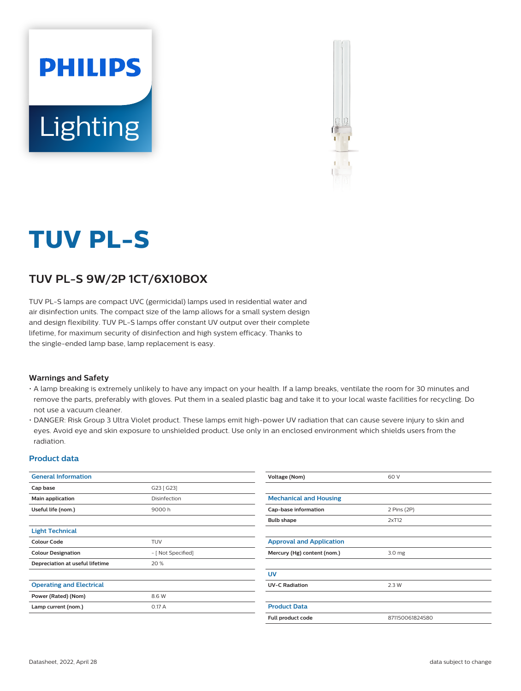



# **TUV PL-S**

## **TUV PL-S 9W/2P 1CT/6X10BOX**

TUV PL-S lamps are compact UVC (germicidal) lamps used in residential water and air disinfection units. The compact size of the lamp allows for a small system design and design flexibility. TUV PL-S lamps offer constant UV output over their complete lifetime, for maximum security of disinfection and high system efficacy. Thanks to the single-ended lamp base, lamp replacement is easy.

## **Warnings and Safety**

- A lamp breaking is extremely unlikely to have any impact on your health. If a lamp breaks, ventilate the room for 30 minutes and remove the parts, preferably with gloves. Put them in a sealed plastic bag and take it to your local waste facilities for recycling. Do not use a vacuum cleaner.
- DANGER: Risk Group 3 Ultra Violet product. These lamps emit high-power UV radiation that can cause severe injury to skin and eyes. Avoid eye and skin exposure to unshielded product. Use only in an enclosed environment which shields users from the radiation.

### **Product data**

| <b>General Information</b>      |                    | Voltage (Nom)                   | 60 V              |  |  |
|---------------------------------|--------------------|---------------------------------|-------------------|--|--|
| Cap base                        | G23 [ G23]         |                                 |                   |  |  |
| Main application                | Disinfection       | <b>Mechanical and Housing</b>   |                   |  |  |
| Useful life (nom.)              | 9000h              | Cap-base information            | 2 Pins (2P)       |  |  |
|                                 |                    | <b>Bulb shape</b>               | 2xT12             |  |  |
| <b>Light Technical</b>          |                    |                                 |                   |  |  |
| <b>Colour Code</b>              | <b>TUV</b>         | <b>Approval and Application</b> |                   |  |  |
| <b>Colour Designation</b>       | - [ Not Specified] | Mercury (Hg) content (nom.)     | 3.0 <sub>mg</sub> |  |  |
| Depreciation at useful lifetime | 20 %               |                                 |                   |  |  |
|                                 |                    | <b>UV</b>                       |                   |  |  |
| <b>Operating and Electrical</b> |                    | <b>UV-C Radiation</b>           | 2.3 W             |  |  |
| Power (Rated) (Nom)             | 8.6 W              |                                 |                   |  |  |
| Lamp current (nom.)             | 0.17A              | <b>Product Data</b>             |                   |  |  |
|                                 |                    | Full product code               | 871150061824580   |  |  |